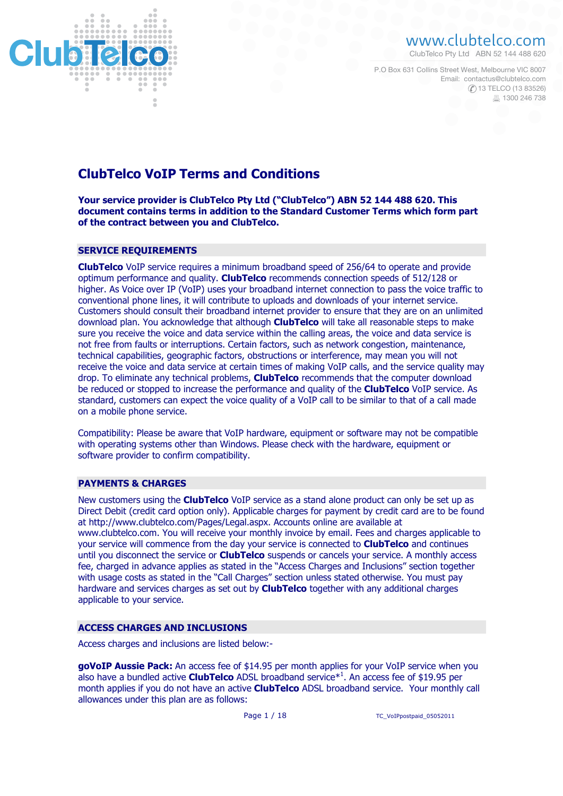

# www.clubtelco.com

ClubTelco Pty Ltd ABN 52 144 488 620

Email: contactus@clubtelco.com (C) 13 TELCO (13 83526) 昌 1300 246 738 P.O Box 631 Collins Street West, Melbourne VIC 8007

# **ClubTelco VoIP Terms and Conditions**

**Your service provider is ClubTelco Pty Ltd ("ClubTelco") ABN 52 144 488 620. This document contains terms in addition to the Standard Customer Terms which form part of the contract between you and ClubTelco.**

# **SERVICE REQUIREMENTS**

**ClubTelco** VoIP service requires a minimum broadband speed of 256/64 to operate and provide optimum performance and quality. **ClubTelco** recommends connection speeds of 512/128 or higher. As Voice over IP (VoIP) uses your broadband internet connection to pass the voice traffic to conventional phone lines, it will contribute to uploads and downloads of your internet service. Customers should consult their broadband internet provider to ensure that they are on an unlimited download plan. You acknowledge that although **ClubTelco** will take all reasonable steps to make sure you receive the voice and data service within the calling areas, the voice and data service is not free from faults or interruptions. Certain factors, such as network congestion, maintenance, technical capabilities, geographic factors, obstructions or interference, may mean you will not receive the voice and data service at certain times of making VoIP calls, and the service quality may drop. To eliminate any technical problems, **ClubTelco** recommends that the computer download be reduced or stopped to increase the performance and quality of the **ClubTelco** VoIP service. As standard, customers can expect the voice quality of a VoIP call to be similar to that of a call made on a mobile phone service.

Compatibility: Please be aware that VoIP hardware, equipment or software may not be compatible with operating systems other than Windows. Please check with the hardware, equipment or software provider to confirm compatibility.

# **PAYMENTS & CHARGES**

New customers using the **ClubTelco** VoIP service as a stand alone product can only be set up as Direct Debit (credit card option only). Applicable charges for payment by credit card are to be found at http://www.clubtelco.com/Pages/Legal.aspx. Accounts online are available at www.clubtelco.com. You will receive your monthly invoice by email. Fees and charges applicable to your service will commence from the day your service is connected to **ClubTelco** and continues until you disconnect the service or **ClubTelco** suspends or cancels your service. A monthly access fee, charged in advance applies as stated in the "Access Charges and Inclusions" section together with usage costs as stated in the "Call Charges" section unless stated otherwise. You must pay hardware and services charges as set out by **ClubTelco** together with any additional charges applicable to your service.

# **ACCESS CHARGES AND INCLUSIONS**

Access charges and inclusions are listed below:-

**goVoIP Aussie Pack:** An access fee of \$14.95 per month applies for your VoIP service when you also have a bundled active **ClubTelco** ADSL broadband service<sup>\*1</sup>. An access fee of \$19.95 per month applies if you do not have an active **ClubTelco** ADSL broadband service. Your monthly call allowances under this plan are as follows: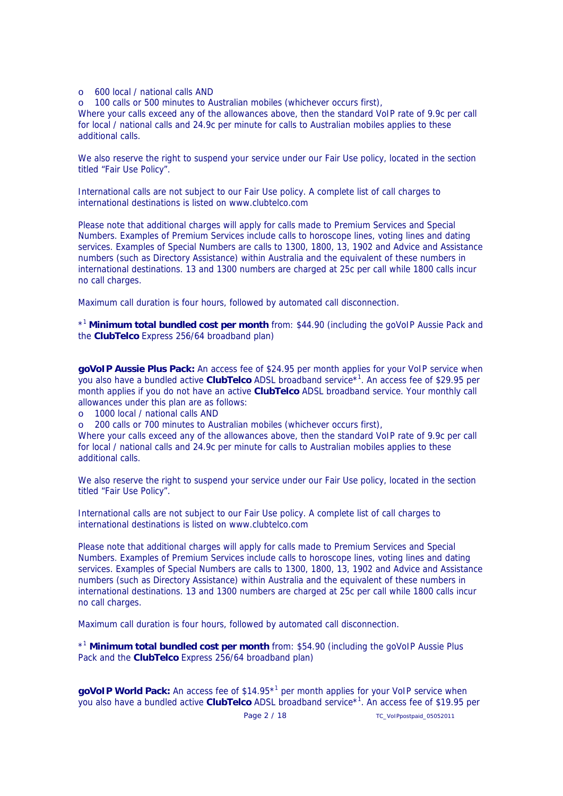## o 600 local / national calls AND

o 100 calls or 500 minutes to Australian mobiles (whichever occurs first), Where your calls exceed any of the allowances above, then the standard VoIP rate of 9.9c per call

for local / national calls and 24.9c per minute for calls to Australian mobiles applies to these additional calls.

We also reserve the right to suspend your service under our Fair Use policy, located in the section titled "Fair Use Policy".

International calls are not subject to our Fair Use policy. A complete list of call charges to international destinations is listed on www.clubtelco.com

Please note that additional charges will apply for calls made to Premium Services and Special Numbers. Examples of Premium Services include calls to horoscope lines, voting lines and dating services. Examples of Special Numbers are calls to 1300, 1800, 13, 1902 and Advice and Assistance numbers (such as Directory Assistance) within Australia and the equivalent of these numbers in international destinations. 13 and 1300 numbers are charged at 25c per call while 1800 calls incur no call charges.

Maximum call duration is four hours, followed by automated call disconnection.

\*1 **Minimum total bundled cost per month** from: \$44.90 (including the goVoIP Aussie Pack and the **ClubTelco** Express 256/64 broadband plan)

**goVoIP Aussie Plus Pack:** An access fee of \$24.95 per month applies for your VoIP service when you also have a bundled active **ClubTelco** ADSL broadband service\*1 . An access fee of \$29.95 per month applies if you do not have an active **ClubTelco** ADSL broadband service. Your monthly call allowances under this plan are as follows:

o 1000 local / national calls AND

o 200 calls or 700 minutes to Australian mobiles (whichever occurs first),

Where your calls exceed any of the allowances above, then the standard VoIP rate of 9.9c per call for local / national calls and 24.9c per minute for calls to Australian mobiles applies to these additional calls.

We also reserve the right to suspend your service under our Fair Use policy, located in the section titled "Fair Use Policy".

International calls are not subject to our Fair Use policy. A complete list of call charges to international destinations is listed on www.clubtelco.com

Please note that additional charges will apply for calls made to Premium Services and Special Numbers. Examples of Premium Services include calls to horoscope lines, voting lines and dating services. Examples of Special Numbers are calls to 1300, 1800, 13, 1902 and Advice and Assistance numbers (such as Directory Assistance) within Australia and the equivalent of these numbers in international destinations. 13 and 1300 numbers are charged at 25c per call while 1800 calls incur no call charges.

Maximum call duration is four hours, followed by automated call disconnection.

\*1 **Minimum total bundled cost per month** from: \$54.90 (including the goVoIP Aussie Plus Pack and the **ClubTelco** Express 256/64 broadband plan)

goVoIP World Pack: An access fee of \$14.95<sup>\*1</sup> per month applies for your VoIP service when you also have a bundled active **ClubTelco** ADSL broadband service\*1 . An access fee of \$19.95 per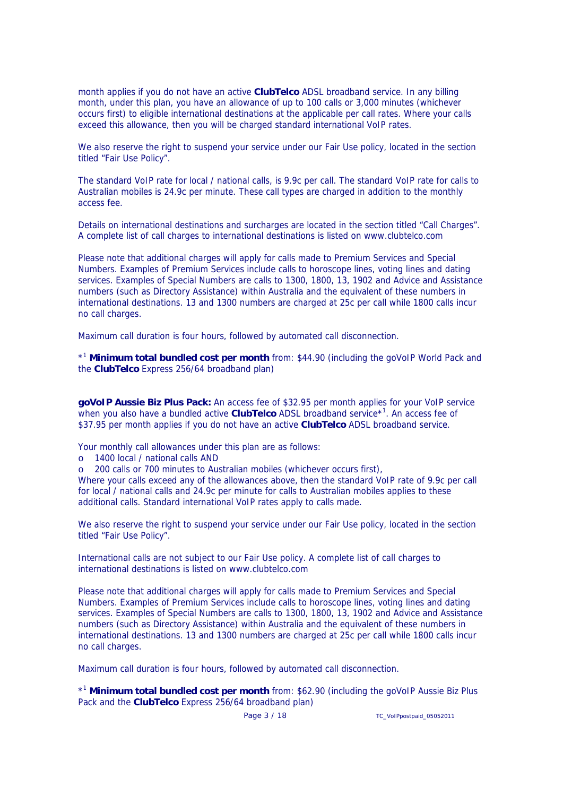month applies if you do not have an active **ClubTelco** ADSL broadband service. In any billing month, under this plan, you have an allowance of up to 100 calls or 3,000 minutes (whichever occurs first) to eligible international destinations at the applicable per call rates. Where your calls exceed this allowance, then you will be charged standard international VoIP rates.

We also reserve the right to suspend your service under our Fair Use policy, located in the section titled "Fair Use Policy".

The standard VoIP rate for local / national calls, is 9.9c per call. The standard VoIP rate for calls to Australian mobiles is 24.9c per minute. These call types are charged in addition to the monthly access fee.

Details on international destinations and surcharges are located in the section titled "Call Charges". A complete list of call charges to international destinations is listed on www.clubtelco.com

Please note that additional charges will apply for calls made to Premium Services and Special Numbers. Examples of Premium Services include calls to horoscope lines, voting lines and dating services. Examples of Special Numbers are calls to 1300, 1800, 13, 1902 and Advice and Assistance numbers (such as Directory Assistance) within Australia and the equivalent of these numbers in international destinations. 13 and 1300 numbers are charged at 25c per call while 1800 calls incur no call charges.

Maximum call duration is four hours, followed by automated call disconnection.

\*1 **Minimum total bundled cost per month** from: \$44.90 (including the goVoIP World Pack and the **ClubTelco** Express 256/64 broadband plan)

**goVoIP Aussie Biz Plus Pack:** An access fee of \$32.95 per month applies for your VoIP service when you also have a bundled active **ClubTelco** ADSL broadband service\*1 . An access fee of \$37.95 per month applies if you do not have an active **ClubTelco** ADSL broadband service.

Your monthly call allowances under this plan are as follows:

- o 1400 local / national calls AND
- o 200 calls or 700 minutes to Australian mobiles (whichever occurs first),

Where your calls exceed any of the allowances above, then the standard VoIP rate of 9.9c per call for local / national calls and 24.9c per minute for calls to Australian mobiles applies to these additional calls. Standard international VoIP rates apply to calls made.

We also reserve the right to suspend your service under our Fair Use policy, located in the section titled "Fair Use Policy".

International calls are not subject to our Fair Use policy. A complete list of call charges to international destinations is listed on www.clubtelco.com

Please note that additional charges will apply for calls made to Premium Services and Special Numbers. Examples of Premium Services include calls to horoscope lines, voting lines and dating services. Examples of Special Numbers are calls to 1300, 1800, 13, 1902 and Advice and Assistance numbers (such as Directory Assistance) within Australia and the equivalent of these numbers in international destinations. 13 and 1300 numbers are charged at 25c per call while 1800 calls incur no call charges.

Maximum call duration is four hours, followed by automated call disconnection.

\*1 **Minimum total bundled cost per month** from: \$62.90 (including the goVoIP Aussie Biz Plus Pack and the **ClubTelco** Express 256/64 broadband plan)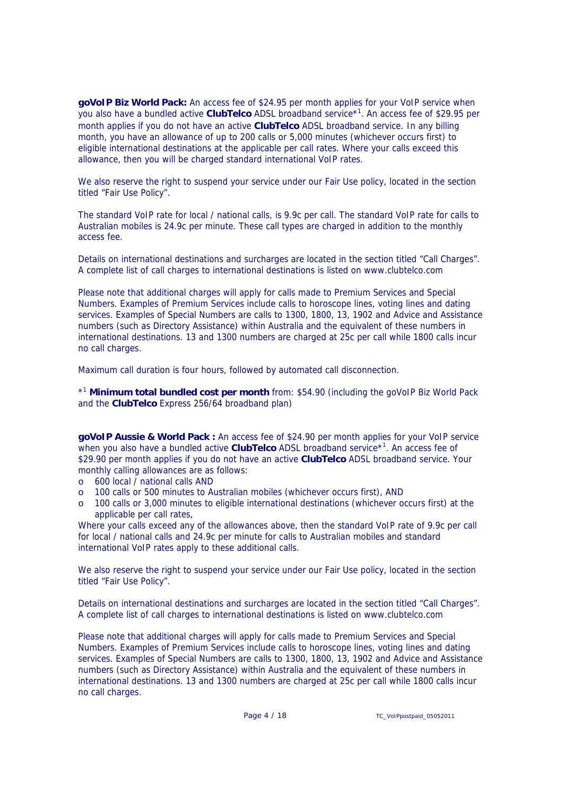**goVoIP Biz World Pack:** An access fee of \$24.95 per month applies for your VoIP service when you also have a bundled active **ClubTelco** ADSL broadband service\*1 . An access fee of \$29.95 per month applies if you do not have an active **ClubTelco** ADSL broadband service. In any billing month, you have an allowance of up to 200 calls or 5,000 minutes (whichever occurs first) to eligible international destinations at the applicable per call rates. Where your calls exceed this allowance, then you will be charged standard international VoIP rates.

We also reserve the right to suspend your service under our Fair Use policy, located in the section titled "Fair Use Policy".

The standard VoIP rate for local / national calls, is 9.9c per call. The standard VoIP rate for calls to Australian mobiles is 24.9c per minute. These call types are charged in addition to the monthly access fee.

Details on international destinations and surcharges are located in the section titled "Call Charges". A complete list of call charges to international destinations is listed on www.clubtelco.com

Please note that additional charges will apply for calls made to Premium Services and Special Numbers. Examples of Premium Services include calls to horoscope lines, voting lines and dating services. Examples of Special Numbers are calls to 1300, 1800, 13, 1902 and Advice and Assistance numbers (such as Directory Assistance) within Australia and the equivalent of these numbers in international destinations. 13 and 1300 numbers are charged at 25c per call while 1800 calls incur no call charges.

Maximum call duration is four hours, followed by automated call disconnection.

\*1 **Minimum total bundled cost per month** from: \$54.90 (including the goVoIP Biz World Pack and the **ClubTelco** Express 256/64 broadband plan)

**goVoIP Aussie & World Pack :** An access fee of \$24.90 per month applies for your VoIP service when you also have a bundled active **ClubTelco** ADSL broadband service<sup>\*1</sup>. An access fee of \$29.90 per month applies if you do not have an active **ClubTelco** ADSL broadband service. Your monthly calling allowances are as follows:

- o 600 local / national calls AND
- o 100 calls or 500 minutes to Australian mobiles (whichever occurs first), AND
- o 100 calls or 3,000 minutes to eligible international destinations (whichever occurs first) at the applicable per call rates,

Where your calls exceed any of the allowances above, then the standard VoIP rate of 9.9c per call for local / national calls and 24.9c per minute for calls to Australian mobiles and standard international VoIP rates apply to these additional calls.

We also reserve the right to suspend your service under our Fair Use policy, located in the section titled "Fair Use Policy".

Details on international destinations and surcharges are located in the section titled "Call Charges". A complete list of call charges to international destinations is listed on www.clubtelco.com

Please note that additional charges will apply for calls made to Premium Services and Special Numbers. Examples of Premium Services include calls to horoscope lines, voting lines and dating services. Examples of Special Numbers are calls to 1300, 1800, 13, 1902 and Advice and Assistance numbers (such as Directory Assistance) within Australia and the equivalent of these numbers in international destinations. 13 and 1300 numbers are charged at 25c per call while 1800 calls incur no call charges.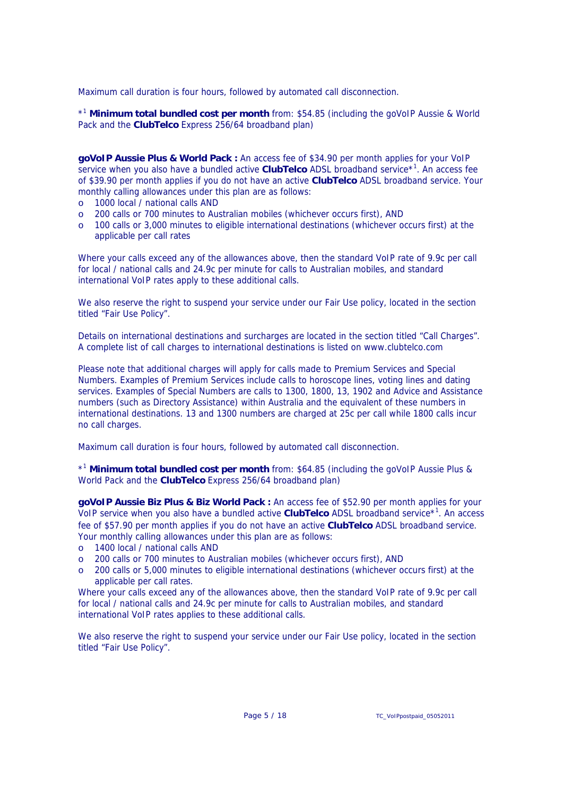Maximum call duration is four hours, followed by automated call disconnection.

\*1 **Minimum total bundled cost per month** from: \$54.85 (including the goVoIP Aussie & World Pack and the **ClubTelco** Express 256/64 broadband plan)

**goVoIP Aussie Plus & World Pack :** An access fee of \$34.90 per month applies for your VoIP service when you also have a bundled active **ClubTelco** ADSL broadband service<sup>\*1</sup>. An access fee of \$39.90 per month applies if you do not have an active **ClubTelco** ADSL broadband service. Your monthly calling allowances under this plan are as follows:

- o 1000 local / national calls AND
- o 200 calls or 700 minutes to Australian mobiles (whichever occurs first), AND
- o 100 calls or 3,000 minutes to eligible international destinations (whichever occurs first) at the applicable per call rates

Where your calls exceed any of the allowances above, then the standard VoIP rate of 9.9c per call for local / national calls and 24.9c per minute for calls to Australian mobiles, and standard international VoIP rates apply to these additional calls.

We also reserve the right to suspend your service under our Fair Use policy, located in the section titled "Fair Use Policy".

Details on international destinations and surcharges are located in the section titled "Call Charges". A complete list of call charges to international destinations is listed on www.clubtelco.com

Please note that additional charges will apply for calls made to Premium Services and Special Numbers. Examples of Premium Services include calls to horoscope lines, voting lines and dating services. Examples of Special Numbers are calls to 1300, 1800, 13, 1902 and Advice and Assistance numbers (such as Directory Assistance) within Australia and the equivalent of these numbers in international destinations. 13 and 1300 numbers are charged at 25c per call while 1800 calls incur no call charges.

Maximum call duration is four hours, followed by automated call disconnection.

\*1 **Minimum total bundled cost per month** from: \$64.85 (including the goVoIP Aussie Plus & World Pack and the **ClubTelco** Express 256/64 broadband plan)

**goVoIP Aussie Biz Plus & Biz World Pack :** An access fee of \$52.90 per month applies for your VoIP service when you also have a bundled active **ClubTelco** ADSL broadband service\*1 . An access fee of \$57.90 per month applies if you do not have an active **ClubTelco** ADSL broadband service. Your monthly calling allowances under this plan are as follows:

- o 1400 local / national calls AND
- o 200 calls or 700 minutes to Australian mobiles (whichever occurs first), AND
- o 200 calls or 5,000 minutes to eligible international destinations (whichever occurs first) at the applicable per call rates.

Where your calls exceed any of the allowances above, then the standard VoIP rate of 9.9c per call for local / national calls and 24.9c per minute for calls to Australian mobiles, and standard international VoIP rates applies to these additional calls.

We also reserve the right to suspend your service under our Fair Use policy, located in the section titled "Fair Use Policy".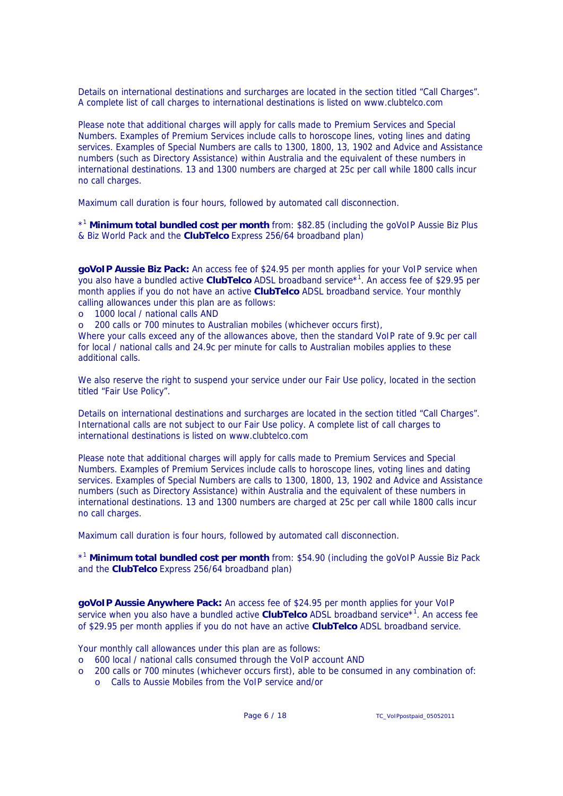Details on international destinations and surcharges are located in the section titled "Call Charges". A complete list of call charges to international destinations is listed on www.clubtelco.com

Please note that additional charges will apply for calls made to Premium Services and Special Numbers. Examples of Premium Services include calls to horoscope lines, voting lines and dating services. Examples of Special Numbers are calls to 1300, 1800, 13, 1902 and Advice and Assistance numbers (such as Directory Assistance) within Australia and the equivalent of these numbers in international destinations. 13 and 1300 numbers are charged at 25c per call while 1800 calls incur no call charges.

Maximum call duration is four hours, followed by automated call disconnection.

\*1 **Minimum total bundled cost per month** from: \$82.85 (including the goVoIP Aussie Biz Plus & Biz World Pack and the **ClubTelco** Express 256/64 broadband plan)

**goVoIP Aussie Biz Pack:** An access fee of \$24.95 per month applies for your VoIP service when you also have a bundled active **ClubTelco** ADSL broadband service\*1 . An access fee of \$29.95 per month applies if you do not have an active **ClubTelco** ADSL broadband service. Your monthly calling allowances under this plan are as follows:

- o 1000 local / national calls AND
- o 200 calls or 700 minutes to Australian mobiles (whichever occurs first),

Where your calls exceed any of the allowances above, then the standard VoIP rate of 9.9c per call for local / national calls and 24.9c per minute for calls to Australian mobiles applies to these additional calls.

We also reserve the right to suspend your service under our Fair Use policy, located in the section titled "Fair Use Policy".

Details on international destinations and surcharges are located in the section titled "Call Charges". International calls are not subject to our Fair Use policy. A complete list of call charges to international destinations is listed on www.clubtelco.com

Please note that additional charges will apply for calls made to Premium Services and Special Numbers. Examples of Premium Services include calls to horoscope lines, voting lines and dating services. Examples of Special Numbers are calls to 1300, 1800, 13, 1902 and Advice and Assistance numbers (such as Directory Assistance) within Australia and the equivalent of these numbers in international destinations. 13 and 1300 numbers are charged at 25c per call while 1800 calls incur no call charges.

Maximum call duration is four hours, followed by automated call disconnection.

\*1 **Minimum total bundled cost per month** from: \$54.90 (including the goVoIP Aussie Biz Pack and the **ClubTelco** Express 256/64 broadband plan)

**goVoIP Aussie Anywhere Pack:** An access fee of \$24.95 per month applies for your VoIP service when you also have a bundled active **ClubTelco** ADSL broadband service<sup>\*1</sup>. An access fee of \$29.95 per month applies if you do not have an active **ClubTelco** ADSL broadband service.

Your monthly call allowances under this plan are as follows:

- o 600 local / national calls consumed through the VoIP account AND
- o 200 calls or 700 minutes (whichever occurs first), able to be consumed in any combination of:
	- o Calls to Aussie Mobiles from the VoIP service and/or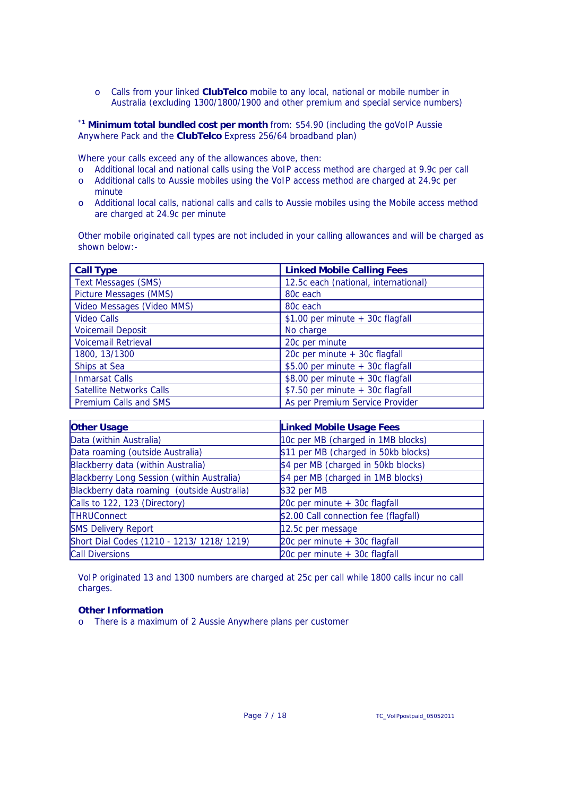o Calls from your linked **ClubTelco** mobile to any local, national or mobile number in Australia (excluding 1300/1800/1900 and other premium and special service numbers)

\***1 Minimum total bundled cost per month** from: \$54.90 (including the goVoIP Aussie Anywhere Pack and the **ClubTelco** Express 256/64 broadband plan)

Where your calls exceed any of the allowances above, then:

- o Additional local and national calls using the VoIP access method are charged at 9.9c per call
- o Additional calls to Aussie mobiles using the VoIP access method are charged at 24.9c per minute
- o Additional local calls, national calls and calls to Aussie mobiles using the Mobile access method are charged at 24.9c per minute

Other mobile originated call types are not included in your calling allowances and will be charged as shown below:-

| <b>Call Type</b>                | <b>Linked Mobile Calling Fees</b>    |  |
|---------------------------------|--------------------------------------|--|
| <b>Text Messages (SMS)</b>      | 12.5c each (national, international) |  |
| Picture Messages (MMS)          | 80c each                             |  |
| Video Messages (Video MMS)      | 80 <sub>c</sub> each                 |  |
| <b>Video Calls</b>              | $$1.00$ per minute + 30c flagfall    |  |
| <b>Voicemail Deposit</b>        | No charge                            |  |
| <b>Voicemail Retrieval</b>      | 20c per minute                       |  |
| 1800, 13/1300                   | 20c per minute + 30c flagfall        |  |
| Ships at Sea                    | \$5.00 per minute + 30c flagfall     |  |
| <b>Inmarsat Calls</b>           | $$8.00$ per minute + 30c flagfall    |  |
| <b>Satellite Networks Calls</b> | \$7.50 per minute + 30c flagfall     |  |
| <b>Premium Calls and SMS</b>    | As per Premium Service Provider      |  |

| <b>Other Usage</b>                          | <b>Linked Mobile Usage Fees</b>       |  |
|---------------------------------------------|---------------------------------------|--|
| Data (within Australia)                     | 10c per MB (charged in 1MB blocks)    |  |
| Data roaming (outside Australia)            | \$11 per MB (charged in 50kb blocks)  |  |
| Blackberry data (within Australia)          | \$4 per MB (charged in 50kb blocks)   |  |
| Blackberry Long Session (within Australia)  | \$4 per MB (charged in 1MB blocks)    |  |
| Blackberry data roaming (outside Australia) | \$32 per MB                           |  |
| Calls to 122, 123 (Directory)               | 20c per minute + 30c flagfall         |  |
| <b>THRUConnect</b>                          | \$2.00 Call connection fee (flagfall) |  |
| <b>SMS Delivery Report</b>                  | 12.5c per message                     |  |
| Short Dial Codes (1210 - 1213/ 1218/ 1219)  | 20 $c$ per minute $+$ 30 $c$ flagfall |  |
| <b>Call Diversions</b>                      | 20 $c$ per minute $+$ 30 $c$ flagfall |  |

VoIP originated 13 and 1300 numbers are charged at 25c per call while 1800 calls incur no call charges.

## **Other Information**

o There is a maximum of 2 Aussie Anywhere plans per customer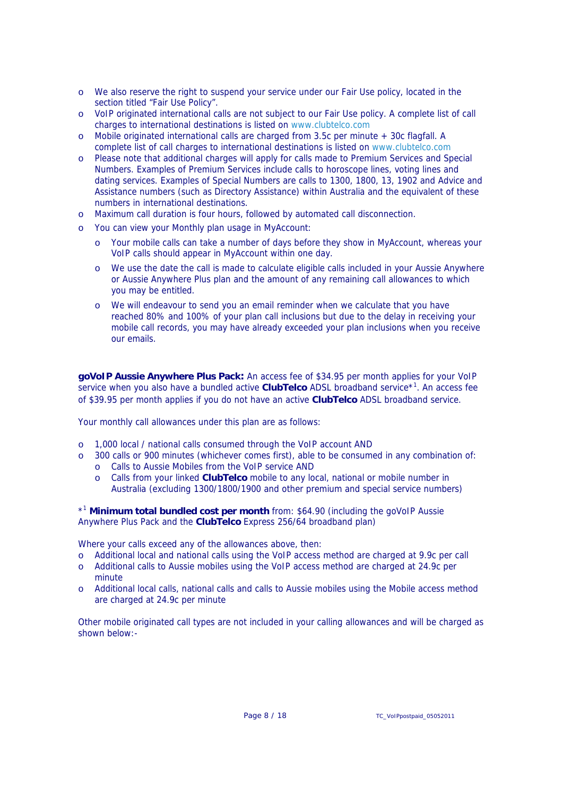- o We also reserve the right to suspend your service under our Fair Use policy, located in the section titled "Fair Use Policy".
- o VoIP originated international calls are not subject to our Fair Use policy. A complete list of call charges to international destinations is listed on www.clubtelco.com
- o Mobile originated international calls are charged from 3.5c per minute + 30c flagfall. A complete list of call charges to international destinations is listed on www.clubtelco.com
- o Please note that additional charges will apply for calls made to Premium Services and Special Numbers. Examples of Premium Services include calls to horoscope lines, voting lines and dating services. Examples of Special Numbers are calls to 1300, 1800, 13, 1902 and Advice and Assistance numbers (such as Directory Assistance) within Australia and the equivalent of these numbers in international destinations.
- o Maximum call duration is four hours, followed by automated call disconnection.
- o You can view your Monthly plan usage in MyAccount:
	- o Your mobile calls can take a number of days before they show in MyAccount, whereas your VoIP calls should appear in MyAccount within one day.
	- o We use the date the call is made to calculate eligible calls included in your Aussie Anywhere or Aussie Anywhere Plus plan and the amount of any remaining call allowances to which you may be entitled.
	- o We will endeavour to send you an email reminder when we calculate that you have reached 80% and 100% of your plan call inclusions but due to the delay in receiving your mobile call records, you may have already exceeded your plan inclusions when you receive our emails.

**goVoIP Aussie Anywhere Plus Pack:** An access fee of \$34.95 per month applies for your VoIP service when you also have a bundled active **ClubTelco** ADSL broadband service<sup>\*1</sup>. An access fee of \$39.95 per month applies if you do not have an active **ClubTelco** ADSL broadband service.

Your monthly call allowances under this plan are as follows:

- o 1,000 local / national calls consumed through the VoIP account AND
- o 300 calls or 900 minutes (whichever comes first), able to be consumed in any combination of:
	- o Calls to Aussie Mobiles from the VoIP service AND
	- o Calls from your linked **ClubTelco** mobile to any local, national or mobile number in Australia (excluding 1300/1800/1900 and other premium and special service numbers)

\*1 **Minimum total bundled cost per month** from: \$64.90 (including the goVoIP Aussie Anywhere Plus Pack and the **ClubTelco** Express 256/64 broadband plan)

Where your calls exceed any of the allowances above, then:

- o Additional local and national calls using the VoIP access method are charged at 9.9c per call
- o Additional calls to Aussie mobiles using the VoIP access method are charged at 24.9c per minute
- o Additional local calls, national calls and calls to Aussie mobiles using the Mobile access method are charged at 24.9c per minute

Other mobile originated call types are not included in your calling allowances and will be charged as shown below:-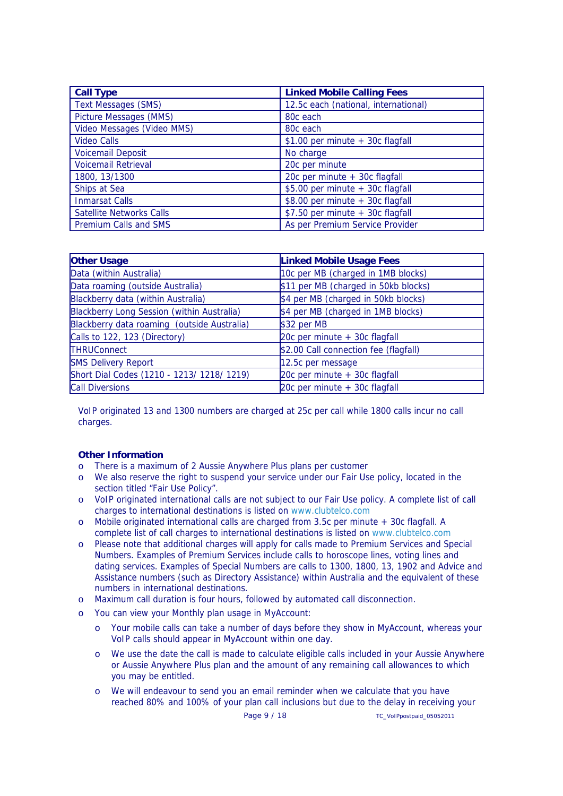| <b>Call Type</b>                | <b>Linked Mobile Calling Fees</b>    |  |  |
|---------------------------------|--------------------------------------|--|--|
| <b>Text Messages (SMS)</b>      | 12.5c each (national, international) |  |  |
| <b>Picture Messages (MMS)</b>   | 80 <sub>c</sub> each                 |  |  |
| Video Messages (Video MMS)      | 80c each                             |  |  |
| <b>Video Calls</b>              | $$1.00$ per minute + 30c flagfall    |  |  |
| <b>Voicemail Deposit</b>        | No charge                            |  |  |
| <b>Voicemail Retrieval</b>      | 20c per minute                       |  |  |
| 1800, 13/1300                   | 20c per minute + 30c flagfall        |  |  |
| Ships at Sea                    | \$5.00 per minute + 30c flagfall     |  |  |
| <b>Inmarsat Calls</b>           | \$8.00 per minute + 30c flagfall     |  |  |
| <b>Satellite Networks Calls</b> | \$7.50 per minute + 30c flagfall     |  |  |
| Premium Calls and SMS           | As per Premium Service Provider      |  |  |

| <b>Other Usage</b>                          | <b>Linked Mobile Usage Fees</b>       |  |
|---------------------------------------------|---------------------------------------|--|
| Data (within Australia)                     | 10c per MB (charged in 1MB blocks)    |  |
| Data roaming (outside Australia)            | \$11 per MB (charged in 50kb blocks)  |  |
| Blackberry data (within Australia)          | \$4 per MB (charged in 50kb blocks)   |  |
| Blackberry Long Session (within Australia)  | \$4 per MB (charged in 1MB blocks)    |  |
| Blackberry data roaming (outside Australia) | \$32 per MB                           |  |
| Calls to 122, 123 (Directory)               | 20 $c$ per minute + 30 $c$ flagfall   |  |
| <b>THRUConnect</b>                          | \$2.00 Call connection fee (flagfall) |  |
| <b>SMS Delivery Report</b>                  | 12.5c per message                     |  |
| Short Dial Codes (1210 - 1213/ 1218/ 1219)  | $20c$ per minute $+30c$ flagfall      |  |
| <b>Call Diversions</b>                      | 20 $c$ per minute $+$ 30 $c$ flagfall |  |

VoIP originated 13 and 1300 numbers are charged at 25c per call while 1800 calls incur no call charges.

## **Other Information**

- o There is a maximum of 2 Aussie Anywhere Plus plans per customer
- o We also reserve the right to suspend your service under our Fair Use policy, located in the section titled "Fair Use Policy".
- o VoIP originated international calls are not subject to our Fair Use policy. A complete list of call charges to international destinations is listed on www.clubtelco.com
- o Mobile originated international calls are charged from 3.5c per minute + 30c flagfall. A complete list of call charges to international destinations is listed on www.clubtelco.com
- o Please note that additional charges will apply for calls made to Premium Services and Special Numbers. Examples of Premium Services include calls to horoscope lines, voting lines and dating services. Examples of Special Numbers are calls to 1300, 1800, 13, 1902 and Advice and Assistance numbers (such as Directory Assistance) within Australia and the equivalent of these numbers in international destinations.
- o Maximum call duration is four hours, followed by automated call disconnection.
- o You can view your Monthly plan usage in MyAccount:
	- o Your mobile calls can take a number of days before they show in MyAccount, whereas your VoIP calls should appear in MyAccount within one day.
	- o We use the date the call is made to calculate eligible calls included in your Aussie Anywhere or Aussie Anywhere Plus plan and the amount of any remaining call allowances to which you may be entitled.
	- o We will endeavour to send you an email reminder when we calculate that you have reached 80% and 100% of your plan call inclusions but due to the delay in receiving your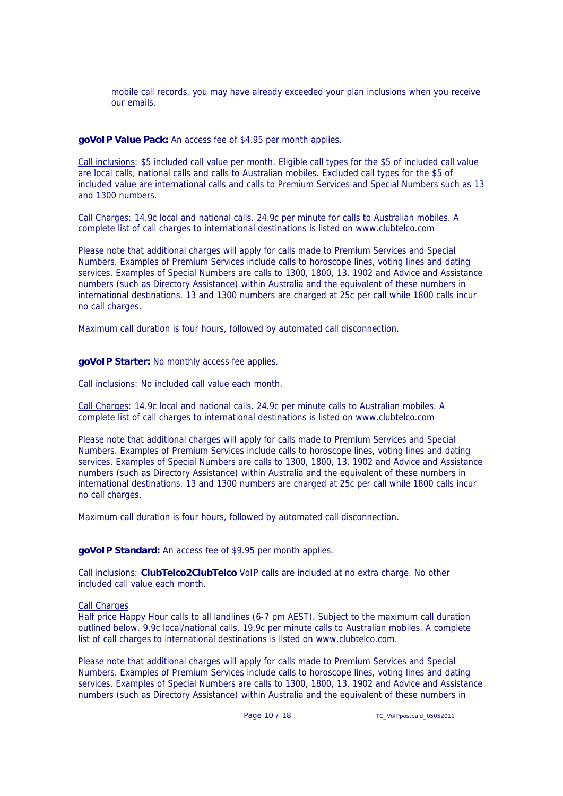mobile call records, you may have already exceeded your plan inclusions when you receive our emails.

**goVoIP Value Pack:** An access fee of \$4.95 per month applies.

Call inclusions: \$5 included call value per month. Eligible call types for the \$5 of included call value are local calls, national calls and calls to Australian mobiles. Excluded call types for the \$5 of included value are international calls and calls to Premium Services and Special Numbers such as 13 and 1300 numbers.

Call Charges: 14.9c local and national calls. 24.9c per minute for calls to Australian mobiles. A complete list of call charges to international destinations is listed on www.clubtelco.com

Please note that additional charges will apply for calls made to Premium Services and Special Numbers. Examples of Premium Services include calls to horoscope lines, voting lines and dating services. Examples of Special Numbers are calls to 1300, 1800, 13, 1902 and Advice and Assistance numbers (such as Directory Assistance) within Australia and the equivalent of these numbers in international destinations. 13 and 1300 numbers are charged at 25c per call while 1800 calls incur no call charges.

Maximum call duration is four hours, followed by automated call disconnection.

**goVoIP Starter:** No monthly access fee applies.

Call inclusions: No included call value each month.

Call Charges: 14.9c local and national calls. 24.9c per minute calls to Australian mobiles. A complete list of call charges to international destinations is listed on www.clubtelco.com

Please note that additional charges will apply for calls made to Premium Services and Special Numbers. Examples of Premium Services include calls to horoscope lines, voting lines and dating services. Examples of Special Numbers are calls to 1300, 1800, 13, 1902 and Advice and Assistance numbers (such as Directory Assistance) within Australia and the equivalent of these numbers in international destinations. 13 and 1300 numbers are charged at 25c per call while 1800 calls incur no call charges.

Maximum call duration is four hours, followed by automated call disconnection.

**goVoIP Standard:** An access fee of \$9.95 per month applies.

Call inclusions: **ClubTelco2ClubTelco** VoIP calls are included at no extra charge. No other included call value each month.

Call Charges

Half price Happy Hour calls to all landlines (6-7 pm AEST). Subject to the maximum call duration outlined below, 9.9c local/national calls. 19.9c per minute calls to Australian mobiles. A complete list of call charges to international destinations is listed on www.clubtelco.com.

Please note that additional charges will apply for calls made to Premium Services and Special Numbers. Examples of Premium Services include calls to horoscope lines, voting lines and dating services. Examples of Special Numbers are calls to 1300, 1800, 13, 1902 and Advice and Assistance numbers (such as Directory Assistance) within Australia and the equivalent of these numbers in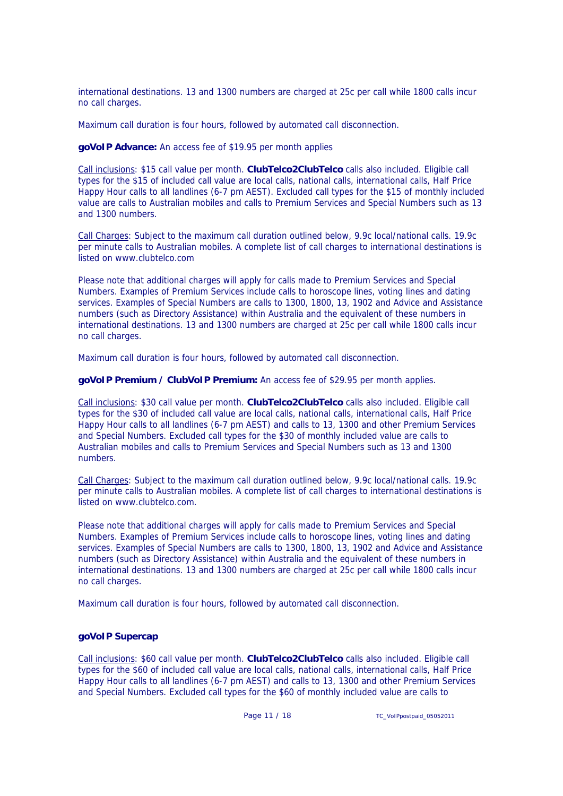international destinations. 13 and 1300 numbers are charged at 25c per call while 1800 calls incur no call charges.

Maximum call duration is four hours, followed by automated call disconnection.

**goVoIP Advance:** An access fee of \$19.95 per month applies

Call inclusions: \$15 call value per month. **ClubTelco2ClubTelco** calls also included. Eligible call types for the \$15 of included call value are local calls, national calls, international calls, Half Price Happy Hour calls to all landlines (6-7 pm AEST). Excluded call types for the \$15 of monthly included value are calls to Australian mobiles and calls to Premium Services and Special Numbers such as 13 and 1300 numbers.

Call Charges: Subject to the maximum call duration outlined below, 9.9c local/national calls. 19.9c per minute calls to Australian mobiles. A complete list of call charges to international destinations is listed on www.clubtelco.com

Please note that additional charges will apply for calls made to Premium Services and Special Numbers. Examples of Premium Services include calls to horoscope lines, voting lines and dating services. Examples of Special Numbers are calls to 1300, 1800, 13, 1902 and Advice and Assistance numbers (such as Directory Assistance) within Australia and the equivalent of these numbers in international destinations. 13 and 1300 numbers are charged at 25c per call while 1800 calls incur no call charges.

Maximum call duration is four hours, followed by automated call disconnection.

**goVoIP Premium / ClubVoIP Premium:** An access fee of \$29.95 per month applies.

Call inclusions: \$30 call value per month. **ClubTelco2ClubTelco** calls also included. Eligible call types for the \$30 of included call value are local calls, national calls, international calls, Half Price Happy Hour calls to all landlines (6-7 pm AEST) and calls to 13, 1300 and other Premium Services and Special Numbers. Excluded call types for the \$30 of monthly included value are calls to Australian mobiles and calls to Premium Services and Special Numbers such as 13 and 1300 numbers.

Call Charges: Subject to the maximum call duration outlined below, 9.9c local/national calls. 19.9c per minute calls to Australian mobiles. A complete list of call charges to international destinations is listed on www.clubtelco.com.

Please note that additional charges will apply for calls made to Premium Services and Special Numbers. Examples of Premium Services include calls to horoscope lines, voting lines and dating services. Examples of Special Numbers are calls to 1300, 1800, 13, 1902 and Advice and Assistance numbers (such as Directory Assistance) within Australia and the equivalent of these numbers in international destinations. 13 and 1300 numbers are charged at 25c per call while 1800 calls incur no call charges.

Maximum call duration is four hours, followed by automated call disconnection.

## **goVoIP Supercap**

Call inclusions: \$60 call value per month. **ClubTelco2ClubTelco** calls also included. Eligible call types for the \$60 of included call value are local calls, national calls, international calls, Half Price Happy Hour calls to all landlines (6-7 pm AEST) and calls to 13, 1300 and other Premium Services and Special Numbers. Excluded call types for the \$60 of monthly included value are calls to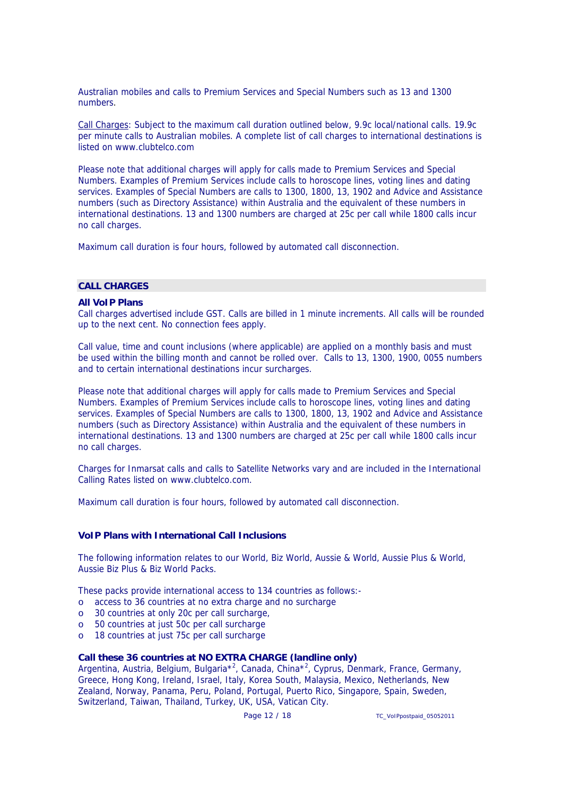Australian mobiles and calls to Premium Services and Special Numbers such as 13 and 1300 numbers.

Call Charges: Subject to the maximum call duration outlined below, 9.9c local/national calls. 19.9c per minute calls to Australian mobiles. A complete list of call charges to international destinations is listed on www.clubtelco.com

Please note that additional charges will apply for calls made to Premium Services and Special Numbers. Examples of Premium Services include calls to horoscope lines, voting lines and dating services. Examples of Special Numbers are calls to 1300, 1800, 13, 1902 and Advice and Assistance numbers (such as Directory Assistance) within Australia and the equivalent of these numbers in international destinations. 13 and 1300 numbers are charged at 25c per call while 1800 calls incur no call charges.

Maximum call duration is four hours, followed by automated call disconnection.

# **CALL CHARGES**

#### **All VoIP Plans**

Call charges advertised include GST. Calls are billed in 1 minute increments. All calls will be rounded up to the next cent. No connection fees apply.

Call value, time and count inclusions (where applicable) are applied on a monthly basis and must be used within the billing month and cannot be rolled over. Calls to 13, 1300, 1900, 0055 numbers and to certain international destinations incur surcharges.

Please note that additional charges will apply for calls made to Premium Services and Special Numbers. Examples of Premium Services include calls to horoscope lines, voting lines and dating services. Examples of Special Numbers are calls to 1300, 1800, 13, 1902 and Advice and Assistance numbers (such as Directory Assistance) within Australia and the equivalent of these numbers in international destinations. 13 and 1300 numbers are charged at 25c per call while 1800 calls incur no call charges.

Charges for Inmarsat calls and calls to Satellite Networks vary and are included in the International Calling Rates listed on www.clubtelco.com.

Maximum call duration is four hours, followed by automated call disconnection.

## **VoIP Plans with International Call Inclusions**

The following information relates to our World, Biz World, Aussie & World, Aussie Plus & World, Aussie Biz Plus & Biz World Packs.

These packs provide international access to 134 countries as follows:-

- o access to 36 countries at no extra charge and no surcharge
- o 30 countries at only 20c per call surcharge,
- o 50 countries at just 50c per call surcharge
- o 18 countries at just 75c per call surcharge

## **Call these 36 countries at NO EXTRA CHARGE (landline only)**

Argentina, Austria, Belgium, Bulgaria<sup>\*2</sup>, Canada, China<sup>\*2</sup>, Cyprus, Denmark, France, Germany, Greece, Hong Kong, Ireland, Israel, Italy, Korea South, Malaysia, Mexico, Netherlands, New Zealand, Norway, Panama, Peru, Poland, Portugal, Puerto Rico, Singapore, Spain, Sweden, Switzerland, Taiwan, Thailand, Turkey, UK, USA, Vatican City.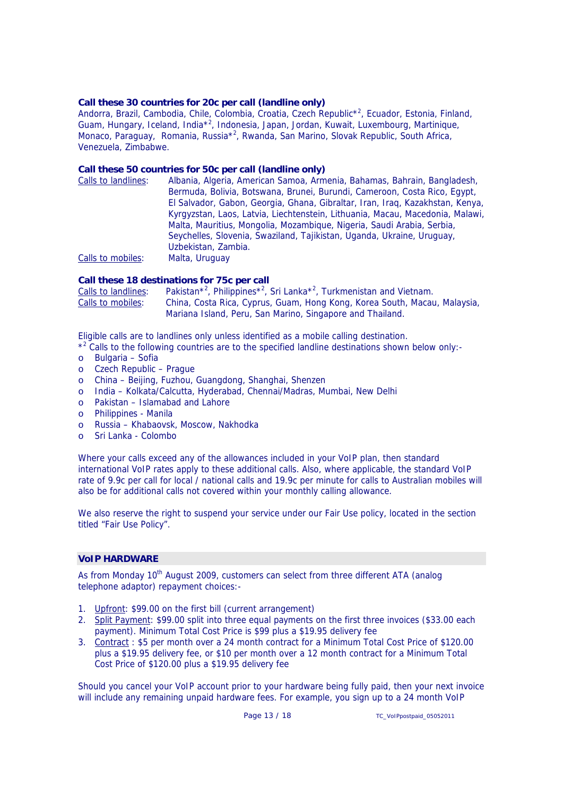#### **Call these 30 countries for 20c per call (landline only)**

Andorra, Brazil, Cambodia, Chile, Colombia, Croatia, Czech Republic\*<sup>2</sup>, Ecuador, Estonia, Finland, Guam, Hungary, Iceland, India<sup>\*2</sup>, Indonesia, Japan, Jordan, Kuwait, Luxembourg, Martinique, Monaco, Paraguay, Romania, Russia<sup>\*2</sup>, Rwanda, San Marino, Slovak Republic, South Africa, Venezuela, Zimbabwe.

#### **Call these 50 countries for 50c per call (landline only)**

| Calls to landlines: | Albania, Algeria, American Samoa, Armenia, Bahamas, Bahrain, Bangladesh,      |
|---------------------|-------------------------------------------------------------------------------|
|                     | Bermuda, Bolivia, Botswana, Brunei, Burundi, Cameroon, Costa Rico, Egypt,     |
|                     | El Salvador, Gabon, Georgia, Ghana, Gibraltar, Iran, Iraq, Kazakhstan, Kenya, |
|                     | Kyrgyzstan, Laos, Latvia, Liechtenstein, Lithuania, Macau, Macedonia, Malawi, |
|                     | Malta, Mauritius, Mongolia, Mozambique, Nigeria, Saudi Arabia, Serbia,        |
|                     | Seychelles, Slovenia, Swaziland, Tajikistan, Uganda, Ukraine, Uruguay,        |
|                     | Uzbekistan, Zambia.                                                           |
| Calls to mobiles:   | Malta, Uruguay                                                                |

#### **Call these 18 destinations for 75c per call**

Calls to landlines: , Philippines<sup>\*2</sup>, Sri Lanka<sup>\*2</sup>, Turkmenistan and Vietnam. Calls to mobiles: China, Costa Rica, Cyprus, Guam, Hong Kong, Korea South, Macau, Malaysia, Mariana Island, Peru, San Marino, Singapore and Thailand.

Eligible calls are to landlines only unless identified as a mobile calling destination.

\*<sup>2</sup> Calls to the following countries are to the specified landline destinations shown below only:-

- o Bulgaria Sofia
- o Czech Republic Prague
- o China Beijing, Fuzhou, Guangdong, Shanghai, Shenzen
- o India Kolkata/Calcutta, Hyderabad, Chennai/Madras, Mumbai, New Delhi
- o Pakistan Islamabad and Lahore
- o Philippines Manila
- o Russia Khabaovsk, Moscow, Nakhodka
- o Sri Lanka Colombo

Where your calls exceed any of the allowances included in your VoIP plan, then standard international VoIP rates apply to these additional calls. Also, where applicable, the standard VoIP rate of 9.9c per call for local / national calls and 19.9c per minute for calls to Australian mobiles will also be for additional calls not covered within your monthly calling allowance.

We also reserve the right to suspend your service under our Fair Use policy, located in the section titled "Fair Use Policy".

#### **VoIP HARDWARE**

As from Monday 10<sup>th</sup> August 2009, customers can select from three different ATA (analog telephone adaptor) repayment choices:-

- 1. Upfront: \$99.00 on the first bill (current arrangement)
- 2. Split Payment: \$99.00 split into three equal payments on the first three invoices (\$33.00 each payment). Minimum Total Cost Price is \$99 plus a \$19.95 delivery fee
- 3. Contract : \$5 per month over a 24 month contract for a Minimum Total Cost Price of \$120.00 plus a \$19.95 delivery fee, or \$10 per month over a 12 month contract for a Minimum Total Cost Price of \$120.00 plus a \$19.95 delivery fee

Should you cancel your VoIP account prior to your hardware being fully paid, then your next invoice will include any remaining unpaid hardware fees. For example, you sign up to a 24 month VoIP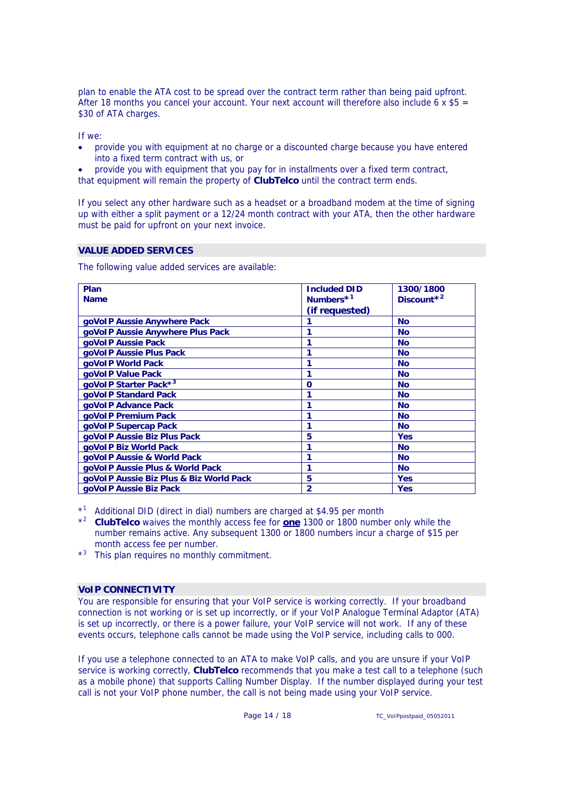plan to enable the ATA cost to be spread over the contract term rather than being paid upfront. After 18 months you cancel your account. Your next account will therefore also include 6 x  $$5 =$ \$30 of ATA charges.

If we:

- provide you with equipment at no charge or a discounted charge because you have entered into a fixed term contract with us, or
- provide you with equipment that you pay for in installments over a fixed term contract,

that equipment will remain the property of **ClubTelco** until the contract term ends.

If you select any other hardware such as a headset or a broadband modem at the time of signing up with either a split payment or a 12/24 month contract with your ATA, then the other hardware must be paid for upfront on your next invoice.

# **VALUE ADDED SERVICES**

The following value added services are available:

| Plan                                    | <b>Included DID</b>   | 1300/1800              |
|-----------------------------------------|-----------------------|------------------------|
| <b>Name</b>                             | Numbers <sup>*1</sup> | Discount <sup>*2</sup> |
|                                         | (if requested)        |                        |
| goVoIP Aussie Anywhere Pack             |                       | <b>No</b>              |
| goVoIP Aussie Anywhere Plus Pack        |                       | <b>No</b>              |
| goVoIP Aussie Pack                      |                       | <b>No</b>              |
| goVoIP Aussie Plus Pack                 |                       | <b>No</b>              |
| goVoIP World Pack                       |                       | <b>No</b>              |
| goVoIP Value Pack                       |                       | <b>No</b>              |
| goVoIP Starter Pack*3                   | $\Omega$              | <b>No</b>              |
| goVoIP Standard Pack                    |                       | <b>No</b>              |
| goVoIP Advance Pack                     |                       | <b>No</b>              |
| goVoIP Premium Pack                     |                       | <b>No</b>              |
| goVoIP Supercap Pack                    |                       | <b>No</b>              |
| goVoIP Aussie Biz Plus Pack             | 5                     | <b>Yes</b>             |
| goVoIP Biz World Pack                   |                       | <b>No</b>              |
| goVoIP Aussie & World Pack              |                       | <b>No</b>              |
| goVoIP Aussie Plus & World Pack         |                       | <b>No</b>              |
| goVoIP Aussie Biz Plus & Biz World Pack | 5                     | <b>Yes</b>             |
| goVoIP Aussie Biz Pack                  | $\overline{2}$        | <b>Yes</b>             |

\*1 Additional DID (direct in dial) numbers are charged at \$4.95 per month

\*2 **ClubTelco** waives the monthly access fee for **one** 1300 or 1800 number only while the number remains active. Any subsequent 1300 or 1800 numbers incur a charge of \$15 per month access fee per number.

\*3 This plan requires no monthly commitment.

## **VoIP CONNECTIVITY**

You are responsible for ensuring that your VoIP service is working correctly. If your broadband connection is not working or is set up incorrectly, or if your VoIP Analogue Terminal Adaptor (ATA) is set up incorrectly, or there is a power failure, your VoIP service will not work. If any of these events occurs, telephone calls cannot be made using the VoIP service, including calls to 000.

If you use a telephone connected to an ATA to make VoIP calls, and you are unsure if your VoIP service is working correctly, **ClubTelco** recommends that you make a test call to a telephone (such as a mobile phone) that supports Calling Number Display. If the number displayed during your test call is not your VoIP phone number, the call is not being made using your VoIP service.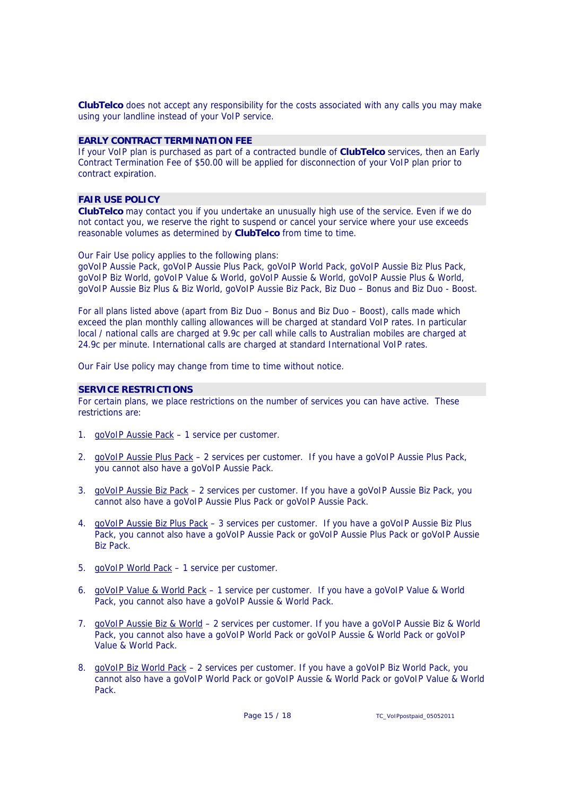**ClubTelco** does not accept any responsibility for the costs associated with any calls you may make using your landline instead of your VoIP service.

#### **EARLY CONTRACT TERMINATION FEE**

If your VoIP plan is purchased as part of a contracted bundle of **ClubTelco** services, then an Early Contract Termination Fee of \$50.00 will be applied for disconnection of your VoIP plan prior to contract expiration.

#### **FAIR USE POLICY**

**ClubTelco** may contact you if you undertake an unusually high use of the service. Even if we do not contact you, we reserve the right to suspend or cancel your service where your use exceeds reasonable volumes as determined by **ClubTelco** from time to time.

Our Fair Use policy applies to the following plans:

goVoIP Aussie Pack, goVoIP Aussie Plus Pack, goVoIP World Pack, goVoIP Aussie Biz Plus Pack, goVoIP Biz World, goVoIP Value & World, goVoIP Aussie & World, goVoIP Aussie Plus & World, goVoIP Aussie Biz Plus & Biz World, goVoIP Aussie Biz Pack, Biz Duo – Bonus and Biz Duo - Boost.

For all plans listed above (apart from Biz Duo – Bonus and Biz Duo – Boost), calls made which exceed the plan monthly calling allowances will be charged at standard VoIP rates. In particular local / national calls are charged at 9.9c per call while calls to Australian mobiles are charged at 24.9c per minute. International calls are charged at standard International VoIP rates.

Our Fair Use policy may change from time to time without notice.

#### **SERVICE RESTRICTIONS**

For certain plans, we place restrictions on the number of services you can have active. These restrictions are:

- 1. goVoIP Aussie Pack 1 service per customer.
- 2. goVoIP Aussie Plus Pack 2 services per customer. If you have a goVoIP Aussie Plus Pack, you cannot also have a goVoIP Aussie Pack.
- 3. goVoIP Aussie Biz Pack 2 services per customer. If you have a goVoIP Aussie Biz Pack, you cannot also have a goVoIP Aussie Plus Pack or goVoIP Aussie Pack.
- 4. goVoIP Aussie Biz Plus Pack 3 services per customer. If you have a goVoIP Aussie Biz Plus Pack, you cannot also have a goVoIP Aussie Pack or goVoIP Aussie Plus Pack or goVoIP Aussie Biz Pack.
- 5. goVoIP World Pack 1 service per customer.
- 6. goVoIP Value & World Pack 1 service per customer. If you have a goVoIP Value & World Pack, you cannot also have a goVoIP Aussie & World Pack.
- 7. goVoIP Aussie Biz & World 2 services per customer. If you have a goVoIP Aussie Biz & World Pack, you cannot also have a goVoIP World Pack or goVoIP Aussie & World Pack or goVoIP Value & World Pack.
- 8. goVoIP Biz World Pack 2 services per customer. If you have a goVoIP Biz World Pack, you cannot also have a goVoIP World Pack or goVoIP Aussie & World Pack or goVoIP Value & World Pack.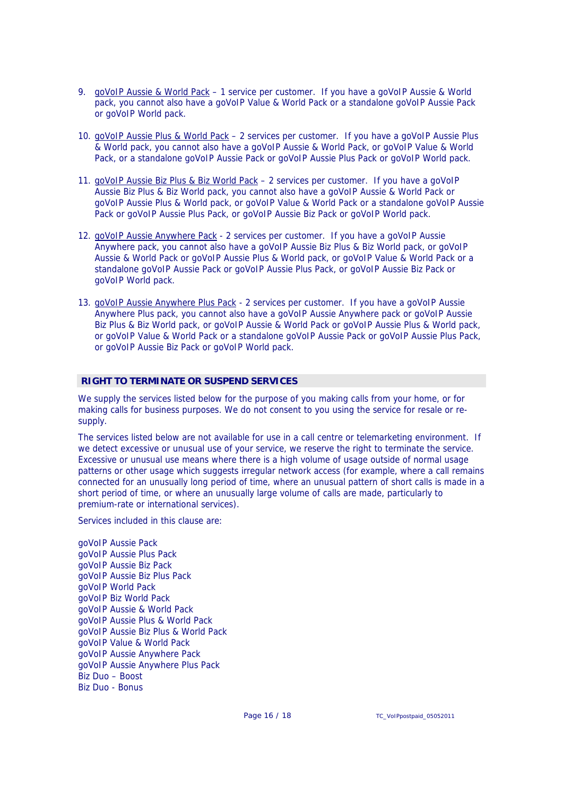- 9. goVoIP Aussie & World Pack 1 service per customer. If you have a goVoIP Aussie & World pack, you cannot also have a goVoIP Value & World Pack or a standalone goVoIP Aussie Pack or goVoIP World pack.
- 10. goVoIP Aussie Plus & World Pack 2 services per customer. If you have a goVoIP Aussie Plus & World pack, you cannot also have a goVoIP Aussie & World Pack, or goVoIP Value & World Pack, or a standalone goVoIP Aussie Pack or goVoIP Aussie Plus Pack or goVoIP World pack.
- 11. goVoIP Aussie Biz Plus & Biz World Pack 2 services per customer. If you have a goVoIP Aussie Biz Plus & Biz World pack, you cannot also have a goVoIP Aussie & World Pack or goVoIP Aussie Plus & World pack, or goVoIP Value & World Pack or a standalone goVoIP Aussie Pack or goVoIP Aussie Plus Pack, or goVoIP Aussie Biz Pack or goVoIP World pack.
- 12. goVoIP Aussie Anywhere Pack 2 services per customer. If you have a goVoIP Aussie Anywhere pack, you cannot also have a goVoIP Aussie Biz Plus & Biz World pack, or goVoIP Aussie & World Pack or goVoIP Aussie Plus & World pack, or goVoIP Value & World Pack or a standalone goVoIP Aussie Pack or goVoIP Aussie Plus Pack, or goVoIP Aussie Biz Pack or goVoIP World pack.
- 13. goVoIP Aussie Anywhere Plus Pack 2 services per customer. If you have a goVoIP Aussie Anywhere Plus pack, you cannot also have a goVoIP Aussie Anywhere pack or goVoIP Aussie Biz Plus & Biz World pack, or goVoIP Aussie & World Pack or goVoIP Aussie Plus & World pack, or goVoIP Value & World Pack or a standalone goVoIP Aussie Pack or goVoIP Aussie Plus Pack, or goVoIP Aussie Biz Pack or goVoIP World pack.

## **RIGHT TO TERMINATE OR SUSPEND SERVICES**

We supply the services listed below for the purpose of you making calls from your home, or for making calls for business purposes. We do not consent to you using the service for resale or resupply.

The services listed below are not available for use in a call centre or telemarketing environment. If we detect excessive or unusual use of your service, we reserve the right to terminate the service. Excessive or unusual use means where there is a high volume of usage outside of normal usage patterns or other usage which suggests irregular network access (for example, where a call remains connected for an unusually long period of time, where an unusual pattern of short calls is made in a short period of time, or where an unusually large volume of calls are made, particularly to premium-rate or international services).

Services included in this clause are:

goVoIP Aussie Pack goVoIP Aussie Plus Pack goVoIP Aussie Biz Pack goVoIP Aussie Biz Plus Pack goVoIP World Pack goVoIP Biz World Pack goVoIP Aussie & World Pack goVoIP Aussie Plus & World Pack goVoIP Aussie Biz Plus & World Pack goVoIP Value & World Pack goVoIP Aussie Anywhere Pack goVoIP Aussie Anywhere Plus Pack Biz Duo – Boost Biz Duo - Bonus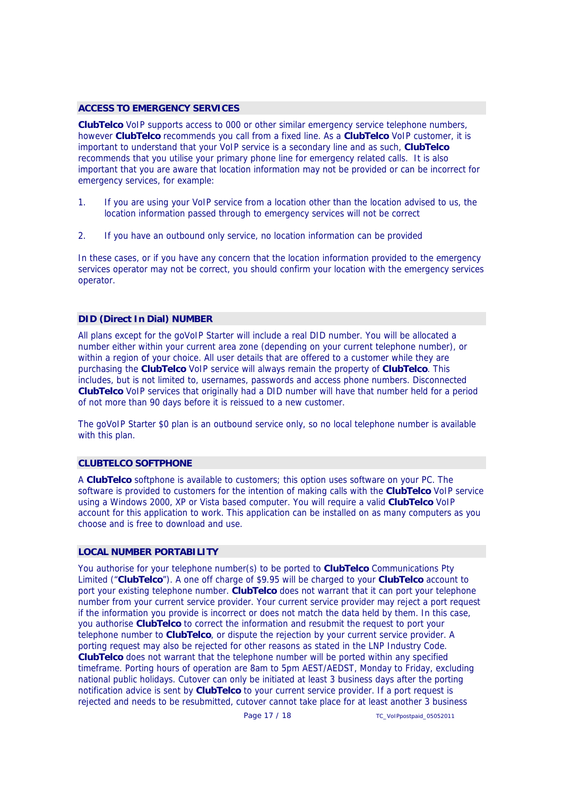## **ACCESS TO EMERGENCY SERVICES**

**ClubTelco** VoIP supports access to 000 or other similar emergency service telephone numbers, however **ClubTelco** recommends you call from a fixed line. As a **ClubTelco** VoIP customer, it is important to understand that your VoIP service is a secondary line and as such, **ClubTelco** recommends that you utilise your primary phone line for emergency related calls. It is also important that you are aware that location information may not be provided or can be incorrect for emergency services, for example:

- 1. If you are using your VoIP service from a location other than the location advised to us, the location information passed through to emergency services will not be correct
- 2. If you have an outbound only service, no location information can be provided

In these cases, or if you have any concern that the location information provided to the emergency services operator may not be correct, you should confirm your location with the emergency services operator.

## **DID (Direct In Dial) NUMBER**

All plans except for the goVoIP Starter will include a real DID number. You will be allocated a number either within your current area zone (depending on your current telephone number), or within a region of your choice. All user details that are offered to a customer while they are purchasing the **ClubTelco** VoIP service will always remain the property of **ClubTelco**. This includes, but is not limited to, usernames, passwords and access phone numbers. Disconnected **ClubTelco** VoIP services that originally had a DID number will have that number held for a period of not more than 90 days before it is reissued to a new customer.

The goVoIP Starter \$0 plan is an outbound service only, so no local telephone number is available with this plan.

## **CLUBTELCO SOFTPHONE**

A **ClubTelco** softphone is available to customers; this option uses software on your PC. The software is provided to customers for the intention of making calls with the **ClubTelco** VoIP service using a Windows 2000, XP or Vista based computer. You will require a valid **ClubTelco** VoIP account for this application to work. This application can be installed on as many computers as you choose and is free to download and use.

#### **LOCAL NUMBER PORTABILITY**

You authorise for your telephone number(s) to be ported to **ClubTelco** Communications Pty Limited ("**ClubTelco**"). A one off charge of \$9.95 will be charged to your **ClubTelco** account to port your existing telephone number. **ClubTelco** does not warrant that it can port your telephone number from your current service provider. Your current service provider may reject a port request if the information you provide is incorrect or does not match the data held by them. In this case, you authorise **ClubTelco** to correct the information and resubmit the request to port your telephone number to **ClubTelco**, or dispute the rejection by your current service provider. A porting request may also be rejected for other reasons as stated in the LNP Industry Code. **ClubTelco** does not warrant that the telephone number will be ported within any specified timeframe. Porting hours of operation are 8am to 5pm AEST/AEDST, Monday to Friday, excluding national public holidays. Cutover can only be initiated at least 3 business days after the porting notification advice is sent by **ClubTelco** to your current service provider. If a port request is rejected and needs to be resubmitted, cutover cannot take place for at least another 3 business